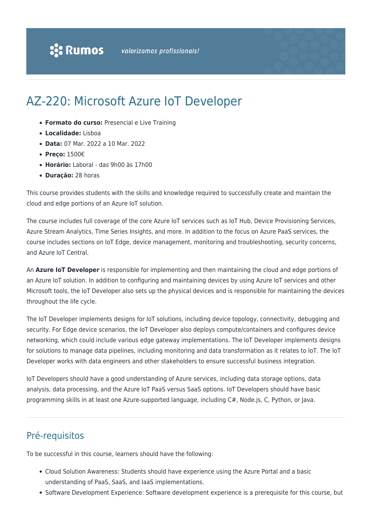# AZ-220: Microsoft Azure IoT Developer

- **Formato do curso:** Presencial e Live Training
- **Localidade:** Lisboa
- **Data:** 07 Mar. 2022 a 10 Mar. 2022
- **Preço:** 1500€
- **Horário:** Laboral das 9h00 às 17h00
- **Duração:** 28 horas

This course provides students with the skills and knowledge required to successfully create and maintain the cloud and edge portions of an Azure IoT solution.

The course includes full coverage of the core Azure IoT services such as IoT Hub, Device Provisioning Services, Azure Stream Analytics, Time Series Insights, and more. In addition to the focus on Azure PaaS services, the course includes sections on IoT Edge, device management, monitoring and troubleshooting, security concerns, and Azure IoT Central.

An **Azure IoT Developer** is responsible for implementing and then maintaining the cloud and edge portions of an Azure IoT solution. In addition to configuring and maintaining devices by using Azure IoT services and other Microsoft tools, the IoT Developer also sets up the physical devices and is responsible for maintaining the devices throughout the life cycle.

The IoT Developer implements designs for IoT solutions, including device topology, connectivity, debugging and security. For Edge device scenarios, the IoT Developer also deploys compute/containers and configures device networking, which could include various edge gateway implementations. The IoT Developer implements designs for solutions to manage data pipelines, including monitoring and data transformation as it relates to IoT. The IoT Developer works with data engineers and other stakeholders to ensure successful business integration.

IoT Developers should have a good understanding of Azure services, including data storage options, data analysis, data processing, and the Azure IoT PaaS versus SaaS options. IoT Developers should have basic programming skills in at least one Azure-supported language, including C#, Node.js, C, Python, or Java.

### Pré-requisitos

To be successful in this course, learners should have the following:

- Cloud Solution Awareness: Students should have experience using the Azure Portal and a basic understanding of PaaS, SaaS, and IaaS implementations.
- Software Development Experience: Software development experience is a prerequisite for this course, but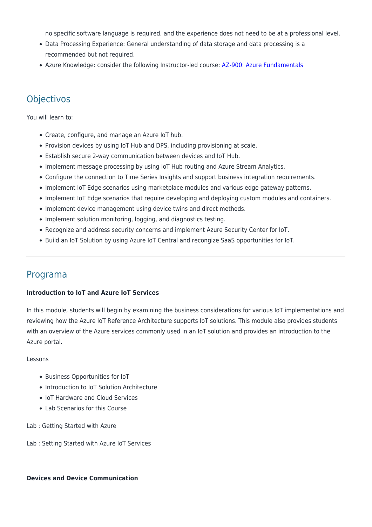no specific software language is required, and the experience does not need to be at a professional level.

- Data Processing Experience: General understanding of data storage and data processing is a recommended but not required.
- Azure Knowledge: consider the following Instructor-led course: [AZ-900: Azure Fundamentals](https://www.rumos.pt/curso/az-900-microsoft-azure-fundamentals-1-dia-presencial-com-live-training/)

## **Objectivos**

You will learn to:

- Create, configure, and manage an Azure IoT hub.
- Provision devices by using IoT Hub and DPS, including provisioning at scale.
- Establish secure 2-way communication between devices and IoT Hub.
- Implement message processing by using IoT Hub routing and Azure Stream Analytics.
- Configure the connection to Time Series Insights and support business integration requirements.
- Implement IoT Edge scenarios using marketplace modules and various edge gateway patterns.
- Implement IoT Edge scenarios that require developing and deploying custom modules and containers.
- Implement device management using device twins and direct methods.
- Implement solution monitoring, logging, and diagnostics testing.
- Recognize and address security concerns and implement Azure Security Center for IoT.
- Build an IoT Solution by using Azure IoT Central and recongize SaaS opportunities for IoT.

### Programa

#### **Introduction to IoT and Azure IoT Services**

In this module, students will begin by examining the business considerations for various IoT implementations and reviewing how the Azure IoT Reference Architecture supports IoT solutions. This module also provides students with an overview of the Azure services commonly used in an IoT solution and provides an introduction to the Azure portal.

#### Lessons

- Business Opportunities for IoT
- Introduction to IoT Solution Architecture
- IoT Hardware and Cloud Services
- Lab Scenarios for this Course

Lab : Getting Started with Azure

Lab : Setting Started with Azure IoT Services

#### **Devices and Device Communication**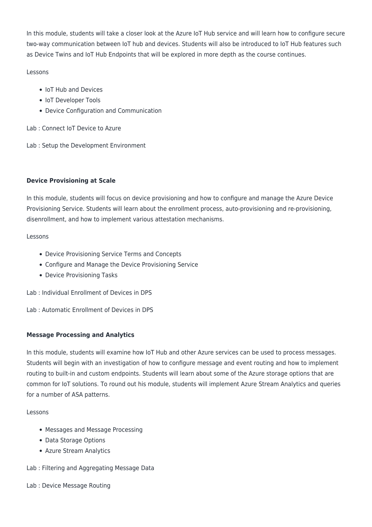In this module, students will take a closer look at the Azure IoT Hub service and will learn how to configure secure two-way communication between IoT hub and devices. Students will also be introduced to IoT Hub features such as Device Twins and IoT Hub Endpoints that will be explored in more depth as the course continues.

#### Lessons

- IoT Hub and Devices
- IoT Developer Tools
- Device Configuration and Communication

Lab : Connect IoT Device to Azure

Lab : Setup the Development Environment

#### **Device Provisioning at Scale**

In this module, students will focus on device provisioning and how to configure and manage the Azure Device Provisioning Service. Students will learn about the enrollment process, auto-provisioning and re-provisioning, disenrollment, and how to implement various attestation mechanisms.

#### Lessons

- Device Provisioning Service Terms and Concepts
- Configure and Manage the Device Provisioning Service
- Device Provisioning Tasks

Lab : Individual Enrollment of Devices in DPS

Lab : Automatic Enrollment of Devices in DPS

#### **Message Processing and Analytics**

In this module, students will examine how IoT Hub and other Azure services can be used to process messages. Students will begin with an investigation of how to configure message and event routing and how to implement routing to built-in and custom endpoints. Students will learn about some of the Azure storage options that are common for IoT solutions. To round out his module, students will implement Azure Stream Analytics and queries for a number of ASA patterns.

#### Lessons

- Messages and Message Processing
- Data Storage Options
- Azure Stream Analytics

Lab : Filtering and Aggregating Message Data

#### Lab : Device Message Routing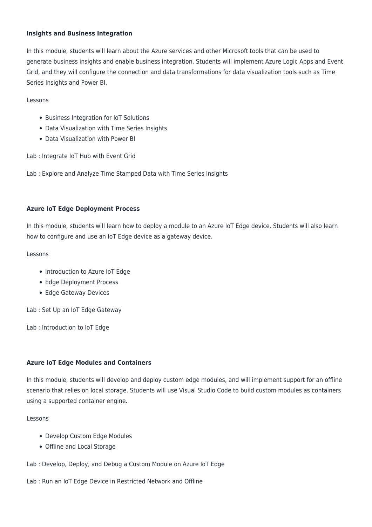#### **Insights and Business Integration**

In this module, students will learn about the Azure services and other Microsoft tools that can be used to generate business insights and enable business integration. Students will implement Azure Logic Apps and Event Grid, and they will configure the connection and data transformations for data visualization tools such as Time Series Insights and Power BI.

#### Lessons

- Business Integration for IoT Solutions
- Data Visualization with Time Series Insights
- Data Visualization with Power BI

Lab : Integrate IoT Hub with Event Grid

Lab : Explore and Analyze Time Stamped Data with Time Series Insights

#### **Azure IoT Edge Deployment Process**

In this module, students will learn how to deploy a module to an Azure IoT Edge device. Students will also learn how to configure and use an IoT Edge device as a gateway device.

#### Lessons

- Introduction to Azure IoT Edge
- Edge Deployment Process
- Edge Gateway Devices

Lab : Set Up an IoT Edge Gateway

Lab : Introduction to IoT Edge

#### **Azure IoT Edge Modules and Containers**

In this module, students will develop and deploy custom edge modules, and will implement support for an offline scenario that relies on local storage. Students will use Visual Studio Code to build custom modules as containers using a supported container engine.

#### Lessons

- Develop Custom Edge Modules
- Offline and Local Storage
- Lab : Develop, Deploy, and Debug a Custom Module on Azure IoT Edge

#### Lab : Run an IoT Edge Device in Restricted Network and Offline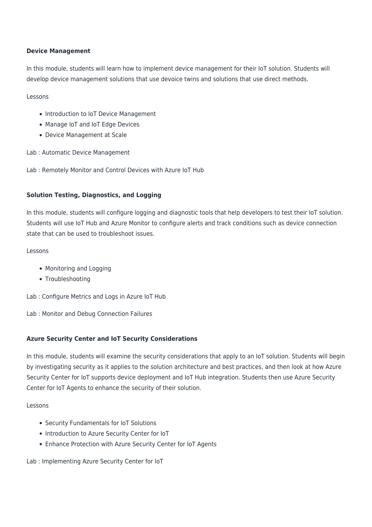#### **Device Management**

In this module, students will learn how to implement device management for their IoT solution. Students will develop device management solutions that use devoice twins and solutions that use direct methods.

#### Lessons

- Introduction to IoT Device Management
- Manage IoT and IoT Edge Devices
- Device Management at Scale

Lab : Automatic Device Management

Lab : Remotely Monitor and Control Devices with Azure IoT Hub

#### **Solution Testing, Diagnostics, and Logging**

In this module, students will configure logging and diagnostic tools that help developers to test their IoT solution. Students will use IoT Hub and Azure Monitor to configure alerts and track conditions such as device connection state that can be used to troubleshoot issues.

#### Lessons

- Monitoring and Logging
- Troubleshooting

Lab : Configure Metrics and Logs in Azure IoT Hub

Lab : Monitor and Debug Connection Failures

#### **Azure Security Center and IoT Security Considerations**

In this module, students will examine the security considerations that apply to an IoT solution. Students will begin by investigating security as it applies to the solution architecture and best practices, and then look at how Azure Security Center for IoT supports device deployment and IoT Hub integration. Students then use Azure Security Center for IoT Agents to enhance the security of their solution.

#### Lessons

- Security Fundamentals for IoT Solutions
- Introduction to Azure Security Center for IoT
- Enhance Protection with Azure Security Center for IoT Agents

Lab : Implementing Azure Security Center for IoT